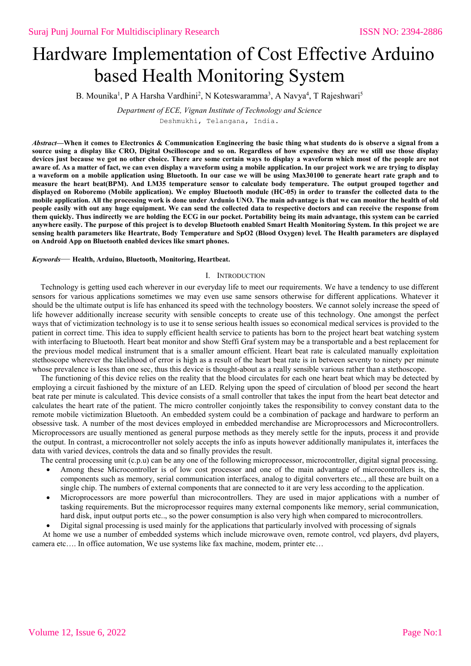# Hardware Implementation of Cost Effective Arduino based Health Monitoring System

B. Mounika<sup>1</sup>, P A Harsha Vardhini<sup>2</sup>, N Koteswaramma<sup>3</sup>, A Navya<sup>4</sup>, T Rajeshwari<sup>5</sup>

*Department of ECE, Vignan Institute of Technology and Science*

Deshmukhi, Telangana, India.

*Abstract***—When it comes to Electronics & Communication Engineering the basic thing what students do is observe a signal from a source using a display like CRO, Digital Oscilloscope and so on. Regardless of how expensive they are we still use those display devices just because we got no other choice. There are some certain ways to display a waveform which most of the people are not aware of. As a matter of fact, we can even display a waveform using a mobile application. In our project work we are trying to display a waveform on a mobile application using Bluetooth. In our case we will be using Max30100 to generate heart rate graph and to measure the heart beat(BPM). And LM35 temperature sensor to calculate body temperature. The output grouped together and displayed on Roboremo (Mobile application). We employ Bluetooth module (HC-05) in order to transfer the collected data to the mobile application. All the processing work is done under Ardunio UNO. The main advantage is that we can monitor the health of old people easily with out any huge equipment. We can send the collected data to respective doctors and can receive the response from them quickly. Thus indirectly we are holding the ECG in our pocket. Portability being its main advantage, this system can be carried anywhere easily. The purpose of this project is to develop Bluetooth enabled Smart Health Monitoring System. In this project we are sensing health parameters like Heartrate, Body Temperature and SpO2 (Blood Oxygen) level. The Health parameters are displayed on Android App on Bluetooth enabled devices like smart phones.**

#### *Keywords*— **Health, Arduino, Bluetooth, Monitoring, Heartbeat.**

### I. INTRODUCTION

Technology is getting used each wherever in our everyday life to meet our requirements. We have a tendency to use different sensors for various applications sometimes we may even use same sensors otherwise for different applications. Whatever it should be the ultimate output is life has enhanced its speed with the technology boosters. We cannot solely increase the speed of life however additionally increase security with sensible concepts to create use of this technology. One amongst the perfect ways that of victimization technology is to use it to sense serious health issues so economical medical services is provided to the patient in correct time. This idea to supply efficient health service to patients has born to the project heart beat watching system with interfacing to Bluetooth. Heart beat monitor and show Steffi Graf system may be a transportable and a best replacement for the previous model medical instrument that is a smaller amount efficient. Heart beat rate is calculated manually exploitation stethoscope wherever the likelihood of error is high as a result of the heart beat rate is in between seventy to ninety per minute whose prevalence is less than one sec, thus this device is thought-about as a really sensible various rather than a stethoscope.

The functioning of this device relies on the reality that the blood circulates for each one heart beat which may be detected by employing a circuit fashioned by the mixture of an LED. Relying upon the speed of circulation of blood per second the heart beat rate per minute is calculated. This device consists of a small controller that takes the input from the heart beat detector and calculates the heart rate of the patient. The micro controller conjointly takes the responsibility to convey constant data to the remote mobile victimization Bluetooth. An embedded system could be a combination of package and hardware to perform an obsessive task. A number of the most devices employed in embedded merchandise are Microprocessors and Microcontrollers. Microprocessors are usually mentioned as general purpose methods as they merely settle for the inputs, process it and provide the output. In contrast, a microcontroller not solely accepts the info as inputs however additionally manipulates it, interfaces the data with varied devices, controls the data and so finally provides the result.

The central processing unit (c.p.u) can be any one of the following microprocessor, microcontroller, digital signal processing.

- Among these Microcontroller is of low cost processor and one of the main advantage of microcontrollers is, the components such as memory, serial communication interfaces, analog to digital converters etc.., all these are built on a single chip. The numbers of external components that are connected to it are very less according to the application.
- Microprocessors are more powerful than microcontrollers. They are used in major applications with a number of tasking requirements. But the microprocessor requires many external components like memory, serial communication, hard disk, input output ports etc.., so the power consumption is also very high when compared to microcontrollers.

Digital signal processing is used mainly for the applications that particularly involved with processing of signals

At home we use a number of embedded systems which include microwave oven, remote control, vcd players, dvd players, camera etc…. In office automation, We use systems like fax machine, modem, printer etc…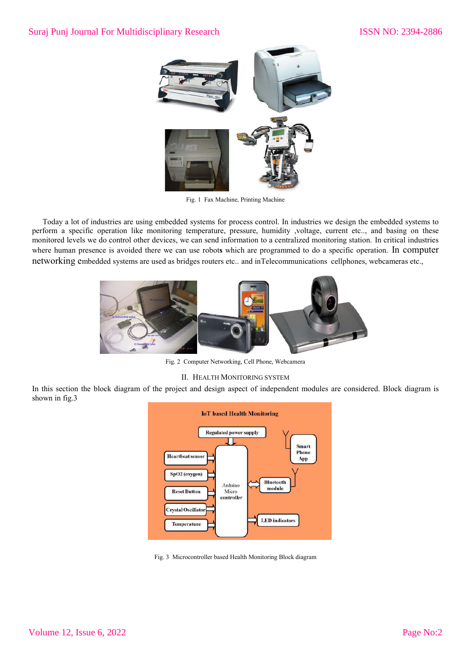

Fig. 1 Fax Machine, Printing Machine

Today a lot of industries are using embedded systems for process control. In industries we design the embedded systems to perform a specific operation like monitoring temperature, pressure, humidity ,voltage, current etc.., and basing on these monitored levels we do control other devices, we can send information to a centralized monitoring station. In critical industries where human presence is avoided there we can use robot**s** which are programmed to do a specific operation. In computer networking embedded systems are used as bridges routers etc.. and inTelecommunications cellphones, webcameras etc.,



Fig. 2 Computer Networking, Cell Phone, Webcamera

## II. HEALTH MONITORING SYSTEM

In this section the block diagram of the project and design aspect of independent modules are considered. Block diagram is shown in fig.3



Fig. 3 Microcontroller based Health Monitoring Block diagram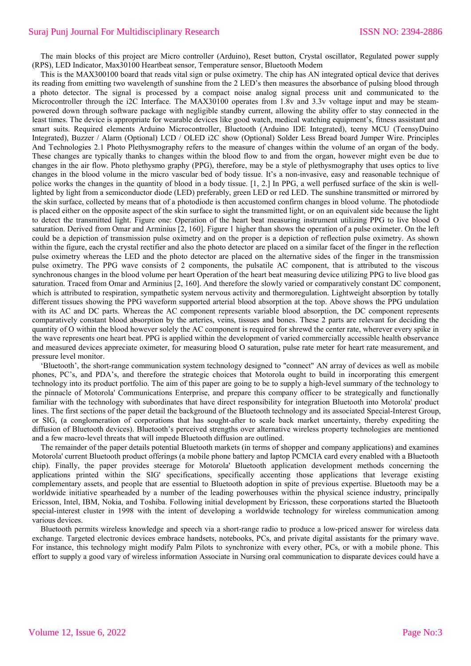The main blocks of this project are Micro controller (Arduino), Reset button, Crystal oscillator, Regulated power supply (RPS), LED Indicator, Max30100 Heartbeat sensor, Temperature sensor, Bluetooth Modem

This is the MAX300100 board that reads vital sign or pulse oximetry. The chip has AN integrated optical device that derives its reading from emitting two wavelength of sunshine from the 2 LED's then measures the absorbance of pulsing blood through a photo detector. The signal is processed by a compact noise analog signal process unit and communicated to the Microcontroller through the i2C Interface. The MAX30100 operates from 1.8v and 3.3v voltage input and may be steampowered down through software package with negligible standby current, allowing the ability offer to stay connected in the least times. The device is appropriate for wearable devices like good watch, medical watching equipment's, fitness assistant and smart suits. Required elements Arduino Microcontroller, Bluetooth (Arduino IDE Integrated), teeny MCU (TeensyDuino Integrated), Buzzer / Alarm (Optional) LCD / OLED i2C show (Optional) Solder Less Bread board Jumper Wire. Principles And Technologies 2.1 Photo Plethysmography refers to the measure of changes within the volume of an organ of the body. These changes are typically thanks to changes within the blood flow to and from the organ, however might even be due to changes in the air flow. Photo plethysmo graphy (PPG), therefore, may be a style of plethysmography that uses optics to live changes in the blood volume in the micro vascular bed of body tissue. It's a non-invasive, easy and reasonable technique of police works the changes in the quantity of blood in a body tissue. [1, 2.] In PPG, a well perfused surface of the skin is welllighted by light from a semiconductor diode (LED) preferably, green LED or red LED. The sunshine transmitted or mirrored by the skin surface, collected by means that of a photodiode is then accustomed confirm changes in blood volume. The photodiode is placed either on the opposite aspect of the skin surface to sight the transmitted light, or on an equivalent side because the light to detect the transmitted light. Figure one: Operation of the heart beat measuring instrument utilizing PPG to live blood O saturation. Derived from Omar and Arminius [2, 160]. Figure 1 higher than shows the operation of a pulse oximeter. On the left could be a depiction of transmission pulse oximetry and on the proper is a depiction of reflection pulse oximetry. As shown within the figure, each the crystal rectifier and also the photo detector are placed on a similar facet of the finger in the reflection pulse oximetry whereas the LED and the photo detector are placed on the alternative sides of the finger in the transmission pulse oximetry. The PPG wave consists of 2 components, the pulsatile AC component, that is attributed to the viscous synchronous changes in the blood volume per heart Operation of the heart beat measuring device utilizing PPG to live blood gas saturation. Traced from Omar and Arminius [2, 160]. And therefore the slowly varied or comparatively constant DC component, which is attributed to respiration, sympathetic system nervous activity and thermoregulation. Lightweight absorption by totally different tissues showing the PPG waveform supported arterial blood absorption at the top. Above shows the PPG undulation with its AC and DC parts. Whereas the AC component represents variable blood absorption, the DC component represents comparatively constant blood absorption by the arteries, veins, tissues and bones. These 2 parts are relevant for deciding the quantity of O within the blood however solely the AC component is required for shrewd the center rate, wherever every spike in the wave represents one heart beat. PPG is applied within the development of varied commercially accessible health observance and measured devices appreciate oximeter, for measuring blood O saturation, pulse rate meter for heart rate measurement, and pressure level monitor.

'Bluetooth', the short-range communication system technology designed to "connect" AN array of devices as well as mobile phones, PC's, and PDA's, and therefore the strategic choices that Motorola ought to build in incorporating this emergent technology into its product portfolio. The aim of this paper are going to be to supply a high-level summary of the technology to the pinnacle of Motorola' Communications Enterprise, and prepare this company officer to be strategically and functionally familiar with the technology with subordinates that have direct responsibility for integration Bluetooth into Motorola' product lines. The first sections of the paper detail the background of the Bluetooth technology and its associated Special-Interest Group, or SIG, (a conglomeration of corporations that has sought-after to scale back market uncertainty, thereby expediting the diffusion of Bluetooth devices). Bluetooth's perceived strengths over alternative wireless property technologies are mentioned and a few macro-level threats that will impede Bluetooth diffusion are outlined.

The remainder of the paper details potential Bluetooth markets (in terms of shopper and company applications) and examines Motorola' current Bluetooth product offerings (a mobile phone battery and laptop PCMCIA card every enabled with a Bluetooth chip). Finally, the paper provides steerage for Motorola' Bluetooth application development methods concerning the applications printed within the SIG' specifications, specifically accenting those applications that leverage existing complementary assets, and people that are essential to Bluetooth adoption in spite of previous expertise. Bluetooth may be a worldwide initiative spearheaded by a number of the leading powerhouses within the physical science industry, principally Ericsson, Intel, IBM, Nokia, and Toshiba. Following initial development by Ericsson, these corporations started the Bluetooth special-interest cluster in 1998 with the intent of developing a worldwide technology for wireless communication among various devices.

Bluetooth permits wireless knowledge and speech via a short-range radio to produce a low-priced answer for wireless data exchange. Targeted electronic devices embrace handsets, notebooks, PCs, and private digital assistants for the primary wave. For instance, this technology might modify Palm Pilots to synchronize with every other, PCs, or with a mobile phone. This effort to supply a good vary of wireless information Associate in Nursing oral communication to disparate devices could have a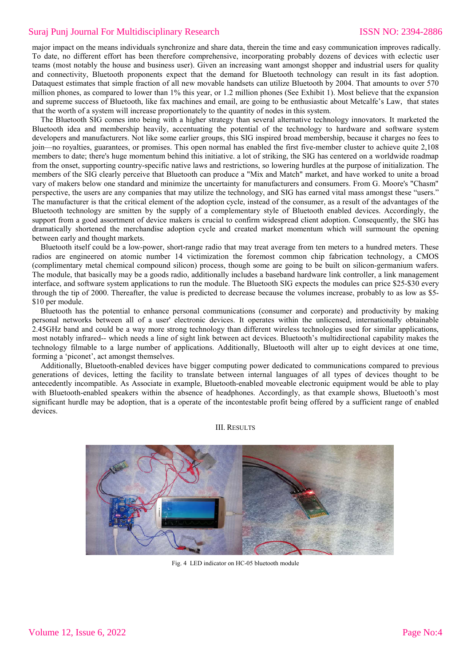major impact on the means individuals synchronize and share data, therein the time and easy communication improves radically. To date, no different effort has been therefore comprehensive, incorporating probably dozens of devices with eclectic user teams (most notably the house and business user). Given an increasing want amongst shopper and industrial users for quality and connectivity, Bluetooth proponents expect that the demand for Bluetooth technology can result in its fast adoption. Dataquest estimates that simple fraction of all new movable handsets can utilize Bluetooth by 2004. That amounts to over 570 million phones, as compared to lower than 1% this year, or 1.2 million phones (See Exhibit 1). Most believe that the expansion and supreme success of Bluetooth, like fax machines and email, are going to be enthusiastic about Metcalfe's Law, that states that the worth of a system will increase proportionately to the quantity of nodes in this system.

The Bluetooth SIG comes into being with a higher strategy than several alternative technology innovators. It marketed the Bluetooth idea and membership heavily, accentuating the potential of the technology to hardware and software system developers and manufacturers. Not like some earlier groups, this SIG inspired broad membership, because it charges no fees to join—no royalties, guarantees, or promises. This open normal has enabled the first five-member cluster to achieve quite 2,108 members to date; there's huge momentum behind this initiative. a lot of striking, the SIG has centered on a worldwide roadmap from the onset, supporting country-specific native laws and restrictions, so lowering hurdles at the purpose of initialization. The members of the SIG clearly perceive that Bluetooth can produce a "Mix and Match" market, and have worked to unite a broad vary of makers below one standard and minimize the uncertainty for manufacturers and consumers. From G. Moore's "Chasm" perspective, the users are any companies that may utilize the technology, and SIG has earned vital mass amongst these "users." The manufacturer is that the critical element of the adoption cycle, instead of the consumer, as a result of the advantages of the Bluetooth technology are smitten by the supply of a complementary style of Bluetooth enabled devices. Accordingly, the support from a good assortment of device makers is crucial to confirm widespread client adoption. Consequently, the SIG has dramatically shortened the merchandise adoption cycle and created market momentum which will surmount the opening between early and thought markets.

Bluetooth itself could be a low-power, short-range radio that may treat average from ten meters to a hundred meters. These radios are engineered on atomic number 14 victimization the foremost common chip fabrication technology, a CMOS (complimentary metal chemical compound silicon) process, though some are going to be built on silicon-germanium wafers. The module, that basically may be a goods radio, additionally includes a baseband hardware link controller, a link management interface, and software system applications to run the module. The Bluetooth SIG expects the modules can price \$25-\$30 every through the tip of 2000. Thereafter, the value is predicted to decrease because the volumes increase, probably to as low as \$5- \$10 per module.

Bluetooth has the potential to enhance personal communications (consumer and corporate) and productivity by making personal networks between all of a user' electronic devices. It operates within the unlicensed, internationally obtainable 2.45GHz band and could be a way more strong technology than different wireless technologies used for similar applications, most notably infrared-- which needs a line of sight link between act devices. Bluetooth's multidirectional capability makes the technology filmable to a large number of applications. Additionally, Bluetooth will alter up to eight devices at one time, forming a 'piconet', act amongst themselves.

Additionally, Bluetooth-enabled devices have bigger computing power dedicated to communications compared to previous generations of devices, letting the facility to translate between internal languages of all types of devices thought to be antecedently incompatible. As Associate in example, Bluetooth-enabled moveable electronic equipment would be able to play with Bluetooth-enabled speakers within the absence of headphones. Accordingly, as that example shows, Bluetooth's most significant hurdle may be adoption, that is a operate of the incontestable profit being offered by a sufficient range of enabled devices.

III. RESULTS



Fig. 4 LED indicator on HC-05 bluetooth module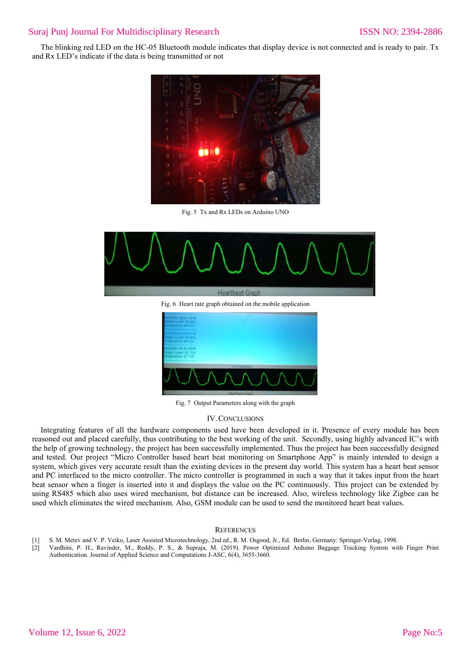The blinking red LED on the HC-05 Bluetooth module indicates that display device is not connected and is ready to pair. Tx and Rx LED's indicate if the data is being transmitted or not



Fig. 5 Tx and Rx LEDs on Arduino UNO



Fig. 7 Output Parameters along with the graph

### IV.CONCLUSIONS

Integrating features of all the hardware components used have been developed in it. Presence of every module has been reasoned out and placed carefully, thus contributing to the best working of the unit. Secondly, using highly advanced IC's with the help of growing technology, the project has been successfully implemented. Thus the project has been successfully designed and tested. Our project "Micro Controller based heart beat monitoring on Smartphone App" is mainly intended to design a system, which gives very accurate result than the existing devices in the present day world. This system has a heart beat sensor and PC interfaced to the micro controller. The micro controller is programmed in such a way that it takes input from the heart beat sensor when a finger is inserted into it and displays the value on the PC continuously. This project can be extended by using RS485 which also uses wired mechanism, but distance can be increased. Also, wireless technology like Zigbee can be used which eliminates the wired mechanism. Also, GSM module can be used to send the monitored heart beat values.

#### **REFERENCES**

- [1] S. M. Metev and V. P. Veiko, Laser Assisted Microtechnology, 2nd ed., R. M. Osgood, Jr., Ed. Berlin, Germany: Springer-Verlag, 1998.
- [2] Vardhini, P. H., Ravinder, M., Reddy, P. S., & Supraja, M. (2019). Power Optimized Arduino Baggage Tracking System with Finger Print Authentication. Journal of Applied Science and Computations J-ASC, 6(4), 3655-3660.